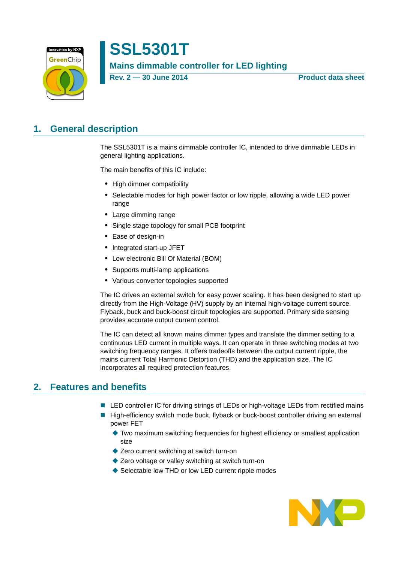

# **SSL5301T**

### **Mains dimmable controller for LED lighting**

**Rev. 2 — 30 June 2014 Product data sheet**

# <span id="page-0-0"></span>**1. General description**

The SSL5301T is a mains dimmable controller IC, intended to drive dimmable LEDs in general lighting applications.

The main benefits of this IC include:

- **•** High dimmer compatibility
- **•** Selectable modes for high power factor or low ripple, allowing a wide LED power range
- **•** Large dimming range
- **•** Single stage topology for small PCB footprint
- **•** Ease of design-in
- **•** Integrated start-up JFET
- **•** Low electronic Bill Of Material (BOM)
- **•** Supports multi-lamp applications
- **•** Various converter topologies supported

The IC drives an external switch for easy power scaling. It has been designed to start up directly from the High-Voltage (HV) supply by an internal high-voltage current source. Flyback, buck and buck-boost circuit topologies are supported. Primary side sensing provides accurate output current control.

The IC can detect all known mains dimmer types and translate the dimmer setting to a continuous LED current in multiple ways. It can operate in three switching modes at two switching frequency ranges. It offers tradeoffs between the output current ripple, the mains current Total Harmonic Distortion (THD) and the application size. The IC incorporates all required protection features.

### <span id="page-0-1"></span>**2. Features and benefits**

- LED controller IC for driving strings of LEDs or high-voltage LEDs from rectified mains
- High-efficiency switch mode buck, flyback or buck-boost controller driving an external power FET
	- Two maximum switching frequencies for highest efficiency or smallest application size
	- ◆ Zero current switching at switch turn-on
	- ◆ Zero voltage or valley switching at switch turn-on
	- ◆ Selectable low THD or low LED current ripple modes

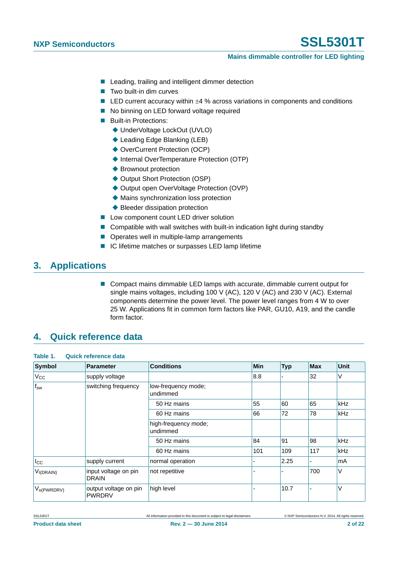#### **Mains dimmable controller for LED lighting**

- Leading, trailing and intelligent dimmer detection
- $\blacksquare$  Two built-in dim curves
- **LED** current accuracy within  $\pm 4$  % across variations in components and conditions
- No binning on LED forward voltage required
- Built-in Protections:
	- ◆ UnderVoltage LockOut (UVLO)
	- ◆ Leading Edge Blanking (LEB)
	- ◆ OverCurrent Protection (OCP)
	- ◆ Internal OverTemperature Protection (OTP)
	- ◆ Brownout protection
	- ◆ Output Short Protection (OSP)
	- ◆ Output open OverVoltage Protection (OVP)
	- Mains synchronization loss protection
	- ◆ Bleeder dissipation protection
- **Low component count LED driver solution**
- Compatible with wall switches with built-in indication light during standby
- Operates well in multiple-lamp arrangements
- IC lifetime matches or surpasses LED lamp lifetime

### <span id="page-1-0"></span>**3. Applications**

■ Compact mains dimmable LED lamps with accurate, dimmable current output for single mains voltages, including 100 V (AC), 120 V (AC) and 230 V (AC). External components determine the power level. The power level ranges from 4 W to over 25 W. Applications fit in common form factors like PAR, GU10, A19, and the candle form factor.

### <span id="page-1-1"></span>**4. Quick reference data**

| <b>Symbol</b>          | <b>Parameter</b>                       | <b>Conditions</b>                | <b>Min</b> | <b>Typ</b> | <b>Max</b> | <b>Unit</b> |
|------------------------|----------------------------------------|----------------------------------|------------|------------|------------|-------------|
| $V_{\rm CC}$           | supply voltage                         |                                  | 8.8        | ۰          | 32         | V           |
| $f_{sw}$               | switching frequency                    | low-frequency mode;<br>undimmed  |            |            |            |             |
|                        |                                        | 50 Hz mains                      | 55         | 60         | 65         | kHz         |
|                        |                                        | 60 Hz mains                      | 66         | 72         | 78         | kHz         |
|                        |                                        | high-frequency mode;<br>undimmed |            |            |            |             |
|                        |                                        | 50 Hz mains                      | 84         | 91         | 98         | kHz         |
|                        |                                        | 60 Hz mains                      | 101        | 109        | 117        | kHz         |
| $I_{\rm CC}$           | supply current                         | normal operation                 |            | 2.25       | -          | mA          |
| $ V_{I(DRAIN)} $       | input voltage on pin<br><b>DRAIN</b>   | not repetitive                   |            |            | 700        | V           |
| V <sub>o(PWRDRV)</sub> | output voltage on pin<br><b>PWRDRV</b> | high level                       |            | 10.7       |            | V           |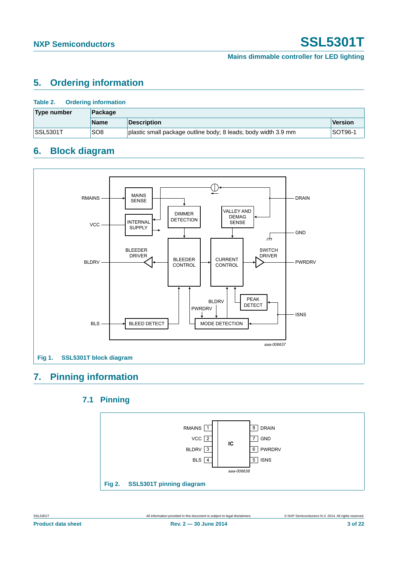### <span id="page-2-0"></span>**5. Ordering information**

| Type number     | Package         |                                                                |                |  |  |
|-----------------|-----------------|----------------------------------------------------------------|----------------|--|--|
|                 | <b>Name</b>     | <b>Description</b>                                             | Version        |  |  |
| <b>SSL5301T</b> | SO <sub>8</sub> | plastic small package outline body; 8 leads; body width 3.9 mm | <b>SOT96-1</b> |  |  |

### <span id="page-2-1"></span>**6. Block diagram**



## <span id="page-2-3"></span><span id="page-2-2"></span>**7. Pinning information**

### **7.1 Pinning**

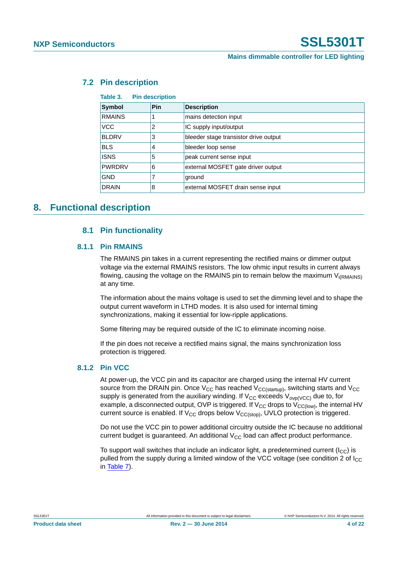#### <span id="page-3-0"></span>**7.2 Pin description**

| <b>Symbol</b> | Pin | <b>Description</b>                    |  |  |  |
|---------------|-----|---------------------------------------|--|--|--|
| <b>RMAINS</b> |     | mains detection input                 |  |  |  |
| <b>VCC</b>    | 2   | IC supply input/output                |  |  |  |
| <b>BLDRV</b>  | 3   | bleeder stage transistor drive output |  |  |  |
| <b>BLS</b>    | 4   | bleeder loop sense                    |  |  |  |
| <b>ISNS</b>   | 5   | peak current sense input              |  |  |  |
| <b>PWRDRV</b> | 6   | external MOSFET gate driver output    |  |  |  |
| <b>GND</b>    |     | ground                                |  |  |  |
| <b>DRAIN</b>  | 8   | external MOSFET drain sense input     |  |  |  |

### <span id="page-3-3"></span><span id="page-3-2"></span><span id="page-3-1"></span>**8. Functional description**

#### **8.1 Pin functionality**

#### **8.1.1 Pin RMAINS**

The RMAINS pin takes in a current representing the rectified mains or dimmer output voltage via the external RMAINS resistors. The low ohmic input results in current always flowing, causing the voltage on the RMAINS pin to remain below the maximum  $V_{\text{i(RMANS)}}$ at any time.

The information about the mains voltage is used to set the dimming level and to shape the output current waveform in LTHD modes. It is also used for internal timing synchronizations, making it essential for low-ripple applications.

Some filtering may be required outside of the IC to eliminate incoming noise.

If the pin does not receive a rectified mains signal, the mains synchronization loss protection is triggered.

#### <span id="page-3-4"></span>**8.1.2 Pin VCC**

At power-up, the VCC pin and its capacitor are charged using the internal HV current source from the DRAIN pin. Once V<sub>CC</sub> has reached V<sub>CC(startup)</sub>, switching starts and V<sub>CC</sub> supply is generated from the auxiliary winding. If  $V_{CC}$  exceeds  $V_{ovp(VCC)}$  due to, for example, a disconnected output, OVP is triggered. If  $V_{CC}$  drops to  $V_{CC(low)}$ , the internal HV current source is enabled. If  $V_{CC}$  drops below  $V_{CC(ston)}$ , UVLO protection is triggered.

Do not use the VCC pin to power additional circuitry outside the IC because no additional current budget is guaranteed. An additional  $V_{CC}$  load can affect product performance.

To support wall switches that include an indicator light, a predetermined current  $(I_{CC})$  is pulled from the supply during a limited window of the VCC voltage (see condition 2 of  $I_{\text{CC}}$ ) in [Table 7\)](#page-11-0).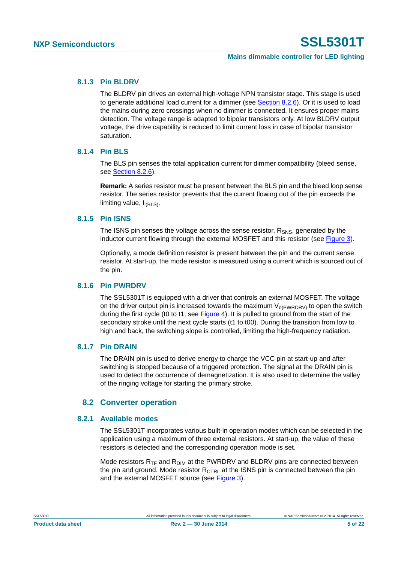#### <span id="page-4-2"></span>**8.1.3 Pin BLDRV**

The BLDRV pin drives an external high-voltage NPN transistor stage. This stage is used to generate additional load current for a dimmer (see [Section 8.2.6](#page-7-0)). Or it is used to load the mains during zero crossings when no dimmer is connected. It ensures proper mains detection. The voltage range is adapted to bipolar transistors only. At low BLDRV output voltage, the drive capability is reduced to limit current loss in case of bipolar transistor saturation.

#### <span id="page-4-1"></span>**8.1.4 Pin BLS**

The BLS pin senses the total application current for dimmer compatibility (bleed sense, see [Section 8.2.6](#page-7-0)).

**Remark:** A series resistor must be present between the BLS pin and the bleed loop sense resistor. The series resistor prevents that the current flowing out of the pin exceeds the limiting value,  $I_{i(B|S)}$ .

#### <span id="page-4-3"></span>**8.1.5 Pin ISNS**

The ISNS pin senses the voltage across the sense resistor,  $R_{SNS}$ , generated by the inductor current flowing through the external MOSFET and this resistor (see [Figure 3\)](#page-5-0).

Optionally, a mode definition resistor is present between the pin and the current sense resistor. At start-up, the mode resistor is measured using a current which is sourced out of the pin.

#### <span id="page-4-4"></span>**8.1.6 Pin PWRDRV**

The SSL5301T is equipped with a driver that controls an external MOSFET. The voltage on the driver output pin is increased towards the maximum  $V_{o(PWRDRV)}$  to open the switch during the first cycle (t0 to t1; see [Figure 4\)](#page-6-0). It is pulled to ground from the start of the secondary stroke until the next cycle starts (t1 to t00). During the transition from low to high and back, the switching slope is controlled, limiting the high-frequency radiation.

#### <span id="page-4-5"></span>**8.1.7 Pin DRAIN**

The DRAIN pin is used to derive energy to charge the VCC pin at start-up and after switching is stopped because of a triggered protection. The signal at the DRAIN pin is used to detect the occurrence of demagnetization. It is also used to determine the valley of the ringing voltage for starting the primary stroke.

#### **8.2 Converter operation**

#### <span id="page-4-6"></span><span id="page-4-0"></span>**8.2.1 Available modes**

The SSL5301T incorporates various built-in operation modes which can be selected in the application using a maximum of three external resistors. At start-up, the value of these resistors is detected and the corresponding operation mode is set.

Mode resistors  $R_{TF}$  and  $R_{DIM}$  at the PWRDRV and BLDRV pins are connected between the pin and ground. Mode resistor  $R_{\text{CTRL}}$  at the ISNS pin is connected between the pin and the external MOSFET source (see [Figure 3\)](#page-5-0).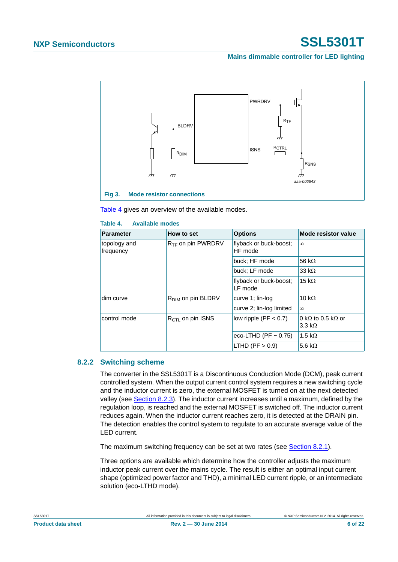**Mains dimmable controller for LED lighting**



<span id="page-5-0"></span>[Table 4](#page-5-1) gives an overview of the available modes.

#### <span id="page-5-1"></span>**Table 4. Available modes**

| <b>Parameter</b>          | How to set                    | <b>Options</b>                    | Mode resistor value                                        |
|---------------------------|-------------------------------|-----------------------------------|------------------------------------------------------------|
| topology and<br>frequency | $R_{TF}$ on pin PWRDRV        | flyback or buck-boost;<br>HF mode | $\infty$                                                   |
|                           |                               | buck; HF mode                     | 56 k $\Omega$                                              |
|                           |                               | buck; LF mode                     | 33 k $\Omega$                                              |
|                           |                               | flyback or buck-boost;<br>LF mode | 15 kQ                                                      |
| dim curve                 | R <sub>DIM</sub> on pin BLDRV | curve 1; lin-log                  | 10 k $\Omega$                                              |
|                           |                               | curve 2; lin-log limited          | $\infty$                                                   |
| control mode              | $R_{\text{CTI}}$ on pin ISNS  | low ripple ( $PF < 0.7$ )         | 0 k $\Omega$ to 0.5 k $\Omega$ or<br>$3.3 \text{ k}\Omega$ |
|                           |                               | eco-LTHD (PF $\sim$ 0.75)         | 1.5 k $\Omega$                                             |
|                           |                               | LTHD (PF $> 0.9$ )                | 5.6 k $\Omega$                                             |

#### <span id="page-5-2"></span>**8.2.2 Switching scheme**

The converter in the SSL5301T is a Discontinuous Conduction Mode (DCM), peak current controlled system. When the output current control system requires a new switching cycle and the inductor current is zero, the external MOSFET is turned on at the next detected valley (see [Section 8.2.3\)](#page-6-1). The inductor current increases until a maximum, defined by the regulation loop, is reached and the external MOSFET is switched off. The inductor current reduces again. When the inductor current reaches zero, it is detected at the DRAIN pin. The detection enables the control system to regulate to an accurate average value of the LED current.

The maximum switching frequency can be set at two rates (see [Section 8.2.1\)](#page-4-0).

Three options are available which determine how the controller adjusts the maximum inductor peak current over the mains cycle. The result is either an optimal input current shape (optimized power factor and THD), a minimal LED current ripple, or an intermediate solution (eco-LTHD mode).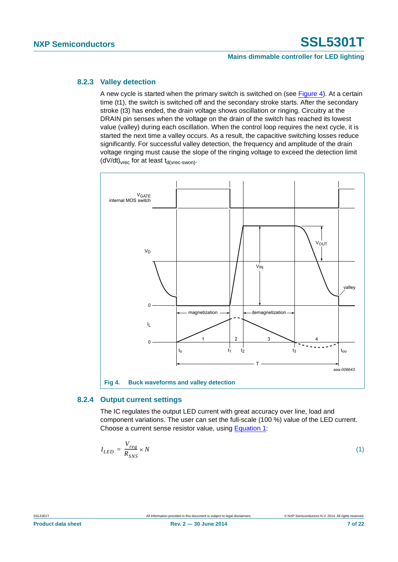#### **Mains dimmable controller for LED lighting**

#### <span id="page-6-1"></span>**8.2.3 Valley detection**

A new cycle is started when the primary switch is switched on (see [Figure 4](#page-6-0)). At a certain time (t1), the switch is switched off and the secondary stroke starts. After the secondary stroke (t3) has ended, the drain voltage shows oscillation or ringing. Circuitry at the DRAIN pin senses when the voltage on the drain of the switch has reached its lowest value (valley) during each oscillation. When the control loop requires the next cycle, it is started the next time a valley occurs. As a result, the capacitive switching losses reduce significantly. For successful valley detection, the frequency and amplitude of the drain voltage ringing must cause the slope of the ringing voltage to exceed the detection limit  $(dV/dt)_{\text{vrec}}$  for at least  $t_{d(vrec\text{-}swon)}$ .



#### <span id="page-6-3"></span><span id="page-6-0"></span>**8.2.4 Output current settings**

The IC regulates the output LED current with great accuracy over line, load and component variations. The user can set the full-scale (100 %) value of the LED current. Choose a current sense resistor value, using [Equation 1](#page-6-2):

<span id="page-6-2"></span>
$$
I_{LED} = \frac{V_{reg}}{R_{SNS}} \times N \tag{1}
$$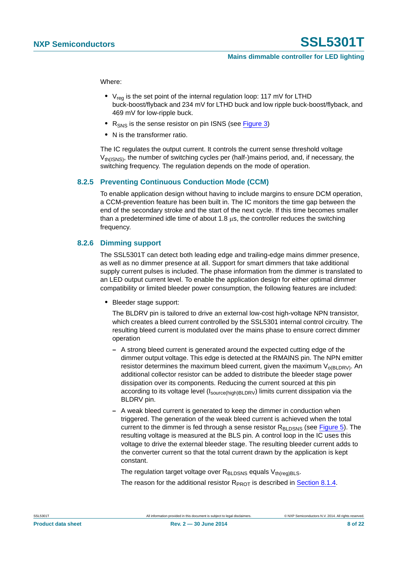Where:

- V<sub>reg</sub> is the set point of the internal regulation loop: 117 mV for LTHD buck-boost/flyback and 234 mV for LTHD buck and low ripple buck-boost/flyback, and 469 mV for low-ripple buck.
- R<sub>SNS</sub> is the sense resistor on pin ISNS (see [Figure 3](#page-5-0))
- **•** N is the transformer ratio.

The IC regulates the output current. It controls the current sense threshold voltage Vth(ISNS), the number of switching cycles per (half-)mains period, and, if necessary, the switching frequency. The regulation depends on the mode of operation.

#### <span id="page-7-1"></span>**8.2.5 Preventing Continuous Conduction Mode (CCM)**

To enable application design without having to include margins to ensure DCM operation, a CCM-prevention feature has been built in. The IC monitors the time gap between the end of the secondary stroke and the start of the next cycle. If this time becomes smaller than a predetermined idle time of about 1.8  $\mu$ s, the controller reduces the switching frequency.

#### <span id="page-7-0"></span>**8.2.6 Dimming support**

The SSL5301T can detect both leading edge and trailing-edge mains dimmer presence, as well as no dimmer presence at all. Support for smart dimmers that take additional supply current pulses is included. The phase information from the dimmer is translated to an LED output current level. To enable the application design for either optimal dimmer compatibility or limited bleeder power consumption, the following features are included:

**•** Bleeder stage support:

The BLDRV pin is tailored to drive an external low-cost high-voltage NPN transistor, which creates a bleed current controlled by the SSL5301 internal control circuitry. The resulting bleed current is modulated over the mains phase to ensure correct dimmer operation

- **–** A strong bleed current is generated around the expected cutting edge of the dimmer output voltage. This edge is detected at the RMAINS pin. The NPN emitter resistor determines the maximum bleed current, given the maximum  $V_{o(BLDRV)}$ . An additional collector resistor can be added to distribute the bleeder stage power dissipation over its components. Reducing the current sourced at this pin according to its voltage level (I<sub>source(high)BLDRV</sub>) limits current dissipation via the BLDRV pin.
- **–** A weak bleed current is generated to keep the dimmer in conduction when triggered. The generation of the weak bleed current is achieved when the total current to the dimmer is fed through a sense resistor  $R_{\text{BI DSNS}}$  (see [Figure 5](#page-8-0)). The resulting voltage is measured at the BLS pin. A control loop in the IC uses this voltage to drive the external bleeder stage. The resulting bleeder current adds to the converter current so that the total current drawn by the application is kept constant.

The regulation target voltage over  $R_{\text{BLDSNS}}$  equals  $V_{th (reg) BLS}$ . The reason for the additional resistor  $R_{PROT}$  is described in [Section 8.1.4](#page-4-1).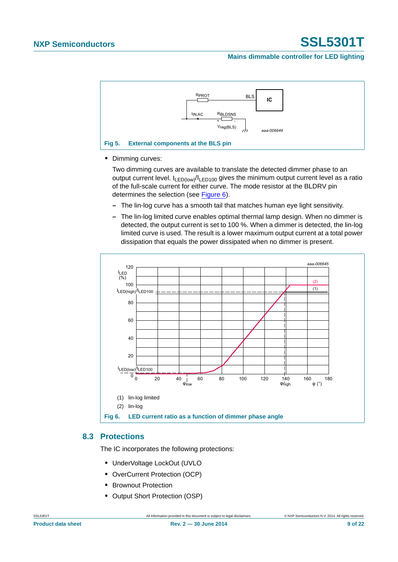**Mains dimmable controller for LED lighting**



<span id="page-8-0"></span>**•** Dimming curves:

Two dimming curves are available to translate the detected dimmer phase to an output current level.  $I_{LED(low)} / I_{LED100}$  gives the minimum output current level as a ratio of the full-scale current for either curve. The mode resistor at the BLDRV pin determines the selection (see [Figure 6](#page-8-1)).

- **–** The lin-log curve has a smooth tail that matches human eye light sensitivity.
- **–** The lin-log limited curve enables optimal thermal lamp design. When no dimmer is detected, the output current is set to 100 %. When a dimmer is detected, the lin-log limited curve is used. The result is a lower maximum output current at a total power dissipation that equals the power dissipated when no dimmer is present.



#### <span id="page-8-2"></span><span id="page-8-1"></span>**8.3 Protections**

The IC incorporates the following protections:

- **•** UnderVoltage LockOut (UVLO
- **•** OverCurrent Protection (OCP)
- **•** Brownout Protection
- **•** Output Short Protection (OSP)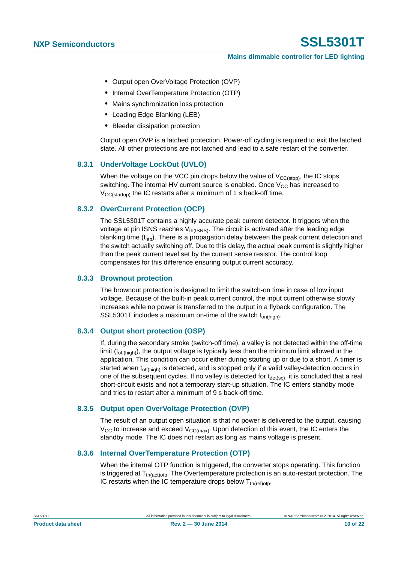#### **Mains dimmable controller for LED lighting**

- **•** Output open OverVoltage Protection (OVP)
- **•** Internal OverTemperature Protection (OTP)
- **•** Mains synchronization loss protection
- **•** Leading Edge Blanking (LEB)
- **•** Bleeder dissipation protection

Output open OVP is a latched protection. Power-off cycling is required to exit the latched state. All other protections are not latched and lead to a safe restart of the converter.

#### <span id="page-9-0"></span>**8.3.1 UnderVoltage LockOut (UVLO)**

When the voltage on the VCC pin drops below the value of  $V_{CC(stop)}$ , the IC stops switching. The internal HV current source is enabled. Once  $V_{CC}$  has increased to  $V_{CC(statup)}$  the IC restarts after a minimum of 1 s back-off time.

#### <span id="page-9-1"></span>**8.3.2 OverCurrent Protection (OCP)**

The SSL5301T contains a highly accurate peak current detector. It triggers when the voltage at pin ISNS reaches  $V_{th(ISNS)}$ . The circuit is activated after the leading edge blanking time  $(t_{\text{lab}})$ . There is a propagation delay between the peak current detection and the switch actually switching off. Due to this delay, the actual peak current is slightly higher than the peak current level set by the current sense resistor. The control loop compensates for this difference ensuring output current accuracy.

#### <span id="page-9-2"></span>**8.3.3 Brownout protection**

The brownout protection is designed to limit the switch-on time in case of low input voltage. Because of the built-in peak current control, the input current otherwise slowly increases while no power is transferred to the output in a flyback configuration. The SSL5301T includes a maximum on-time of the switch  $t_{on(hich)}$ .

#### <span id="page-9-3"></span>**8.3.4 Output short protection (OSP)**

If, during the secondary stroke (switch-off time), a valley is not detected within the off-time limit ( $t_{off(hich)}$ ), the output voltage is typically less than the minimum limit allowed in the application. This condition can occur either during starting up or due to a short. A timer is started when t<sub>off(high)</sub> is detected, and is stopped only if a valid valley-detection occurs in one of the subsequent cycles. If no valley is detected for  $t_{\text{det}(sc)}$ , it is concluded that a real short-circuit exists and not a temporary start-up situation. The IC enters standby mode and tries to restart after a minimum of 9 s back-off time.

#### <span id="page-9-4"></span>**8.3.5 Output open OverVoltage Protection (OVP)**

The result of an output open situation is that no power is delivered to the output, causing  $V_{\text{CC}}$  to increase and exceed  $V_{\text{CC(max)}}$ . Upon detection of this event, the IC enters the standby mode. The IC does not restart as long as mains voltage is present.

#### <span id="page-9-5"></span>**8.3.6 Internal OverTemperature Protection (OTP)**

When the internal OTP function is triggered, the converter stops operating. This function is triggered at  $T_{th (act)otp}$ . The Overtemperature protection is an auto-restart protection. The IC restarts when the IC temperature drops below  $T_{th(rel)$ oto.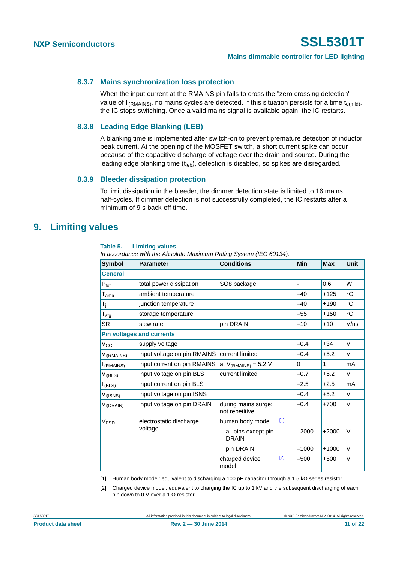#### <span id="page-10-2"></span>**8.3.7 Mains synchronization loss protection**

When the input current at the RMAINS pin fails to cross the "zero crossing detection" value of  $I_{i(RMAINS)}$ , no mains cycles are detected. If this situation persists for a time  $t_{d(mld)}$ , the IC stops switching. Once a valid mains signal is available again, the IC restarts.

#### <span id="page-10-3"></span>**8.3.8 Leading Edge Blanking (LEB)**

A blanking time is implemented after switch-on to prevent premature detection of inductor peak current. At the opening of the MOSFET switch, a short current spike can occur because of the capacitive discharge of voltage over the drain and source. During the leading edge blanking time  $(t_{\text{leb}})$ , detection is disabled, so spikes are disregarded.

#### <span id="page-10-4"></span>**8.3.9 Bleeder dissipation protection**

To limit dissipation in the bleeder, the dimmer detection state is limited to 16 mains half-cycles. If dimmer detection is not successfully completed, the IC restarts after a minimum of 9 s back-off time.

### <span id="page-10-5"></span>**9. Limiting values**

| <b>Symbol</b>               | <b>Parameter</b>                 | <b>Conditions</b>                     |             | <b>Min</b> | <b>Max</b> | <b>Unit</b> |
|-----------------------------|----------------------------------|---------------------------------------|-------------|------------|------------|-------------|
| <b>General</b>              |                                  |                                       |             |            |            |             |
| $P_{\text{tot}}$            | total power dissipation          | SO8 package                           |             |            | 0.6        | W           |
| $\mathsf{T}_{\mathsf{amb}}$ | ambient temperature              |                                       |             | -40        | $+125$     | $^{\circ}C$ |
| $T_j$                       | junction temperature             |                                       |             | -40        | $+190$     | $^{\circ}C$ |
| $T_{\text{stg}}$            | storage temperature              |                                       |             | -55        | $+150$     | $^{\circ}C$ |
| <b>SR</b>                   | slew rate                        | pin DRAIN                             |             | $-10$      | $+10$      | V/ns        |
|                             | <b>Pin voltages and currents</b> |                                       |             |            |            |             |
| $V_{\rm CC}$                | supply voltage                   |                                       |             | $-0.4$     | $+34$      | V           |
| V <sub>i(RMAINS)</sub>      | input voltage on pin RMAINS      | current limited                       |             | $-0.4$     | $+5.2$     | V           |
| $I_{i(RMAINS)}$             | input current on pin RMAINS      | at $V_{(RMAINS)} = 5.2 V$             |             | 0          | 1          | mA          |
| $V_{i(BLS)}$                | input voltage on pin BLS         | current limited                       |             | $-0.7$     | $+5.2$     | V           |
| $I_{i(BLS)}$                | input current on pin BLS         |                                       |             | $-2.5$     | $+2.5$     | mA          |
| $V_{i(ISNS)}$               | input voltage on pin ISNS        |                                       |             | $-0.4$     | $+5.2$     | V           |
| $V_{i(DRAIN)}$              | input voltage on pin DRAIN       | during mains surge;<br>not repetitive |             | $-0.4$     | $+700$     | V           |
| V <sub>ESD</sub>            | electrostatic discharge          | human body model                      | $[1]$       |            |            |             |
|                             | voltage                          | all pins except pin<br><b>DRAIN</b>   |             | $-2000$    | $+2000$    | $\vee$      |
|                             |                                  | pin DRAIN                             |             | $-1000$    | $+1000$    | V           |
|                             |                                  | charged device<br>model               | $\boxed{2}$ | -500       | $+500$     | V           |

**Table 5. Limiting values**

<span id="page-10-0"></span>[1] Human body model: equivalent to discharging a 100 pF capacitor through a 1.5 k $\Omega$  series resistor.

<span id="page-10-1"></span>[2] Charged device model: equivalent to charging the IC up to 1 kV and the subsequent discharging of each pin down to 0 V over a 1  $\Omega$  resistor.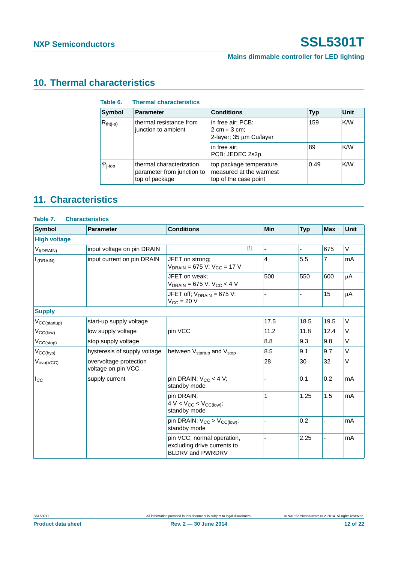### **Mains dimmable controller for LED lighting**

## <span id="page-11-1"></span>**10. Thermal characteristics**

| <b>Thermal characteristics</b><br>Table 6. |                                                                          |                                                                             |            |      |  |  |  |
|--------------------------------------------|--------------------------------------------------------------------------|-----------------------------------------------------------------------------|------------|------|--|--|--|
| <b>Symbol</b>                              | <b>Parameter</b>                                                         | <b>Conditions</b>                                                           | <b>Typ</b> | Unit |  |  |  |
| $R_{th(j-a)}$                              | thermal resistance from<br>junction to ambient                           | in free air; PCB:<br>2 cm $\times$ 3 cm;<br>2-layer; 35 µm Cu/layer         | 159        | K/W  |  |  |  |
|                                            |                                                                          | in free air;<br>PCB: JEDEC 2s2p                                             | 89         | K/W  |  |  |  |
| $\Psi_{\text{j-top}}$                      | thermal characterization<br>parameter from junction to<br>top of package | top package temperature<br>measured at the warmest<br>top of the case point | 0.49       | K/W  |  |  |  |

# <span id="page-11-2"></span>**11. Characteristics**

<span id="page-11-0"></span>

| Table 7.            | <b>Characteristics</b>                       |                                                                               |            |            |            |                |
|---------------------|----------------------------------------------|-------------------------------------------------------------------------------|------------|------------|------------|----------------|
| <b>Symbol</b>       | <b>Parameter</b>                             | <b>Conditions</b>                                                             | <b>Min</b> | <b>Typ</b> | <b>Max</b> | Unit           |
| <b>High voltage</b> |                                              |                                                                               |            |            |            |                |
| $V_{I(DRAIN)}$      | input voltage on pin DRAIN                   | $\boxed{1}$                                                                   | L          | -          | 675        | V              |
| $I_{i(DRAIN)}$      | input current on pin DRAIN                   | JFET on strong;<br>$V_{DRAIN}$ = 675 V; $V_{CC}$ = 17 V                       | 4          | 5.5        | 7          | mA             |
|                     |                                              | JFET on weak;<br>$V_{DRAIN}$ = 675 V; V <sub>CC</sub> < 4 V                   | 500        | 550        | 600        | $\mu$ A        |
|                     |                                              | JFET off; $V_{DRAIN}$ = 675 V;<br>$V_{\rm CC}$ = 20 V                         |            |            | 15         | $\mu$ A        |
| <b>Supply</b>       |                                              |                                                                               |            |            |            |                |
| $V_{CC(statup)}$    | start-up supply voltage                      |                                                                               | 17.5       | 18.5       | 19.5       | V              |
| $V_{CC(low)}$       | low supply voltage                           | pin VCC                                                                       | 11.2       | 11.8       | 12.4       | V              |
| $V_{CC(stop)}$      | stop supply voltage                          |                                                                               | 8.8        | 9.3        | 9.8        | Λ              |
| $V_{CC(hys)}$       | hysteresis of supply voltage                 | between V <sub>startup</sub> and V <sub>stop</sub>                            | 8.5        | 9.1        | 9.7        | V              |
| $V_{ovp(VCC)}$      | overvoltage protection<br>voltage on pin VCC |                                                                               | 28         | 30         | 32         | V              |
| $I_{\rm CC}$        | supply current                               | pin DRAIN; $V_{CC}$ < 4 V;<br>standby mode                                    | ÷,         | 0.1        | 0.2        | m <sub>A</sub> |
|                     |                                              | pin DRAIN;<br>$4 V < V_{CC} < V_{CC(low)}$ ;<br>standby mode                  | 1          | 1.25       | 1.5        | mA             |
|                     |                                              | pin DRAIN; $V_{CC} > V_{CC(low)}$ ;<br>standby mode                           |            | 0.2        |            | mA             |
|                     |                                              | pin VCC; normal operation,<br>excluding drive currents to<br>BLDRV and PWRDRV |            | 2.25       |            | mA             |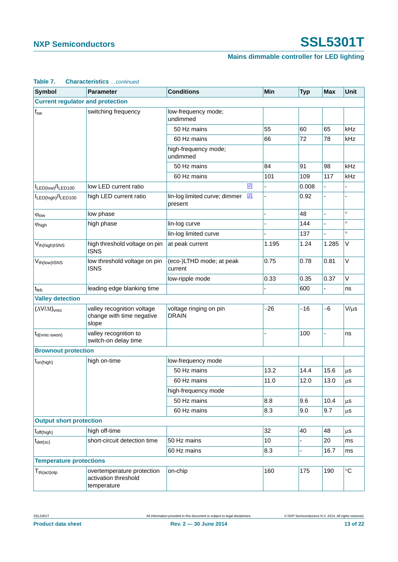### **Mains dimmable controller for LED lighting**

| . ז טושום<br><b>Symbol</b>              | $\mathbf{C}$ naracteristics $\mathbf{C}$ unimaed<br>Parameter     | <b>Conditions</b>                                 | Min            | <b>Typ</b> | <b>Max</b> | <b>Unit</b>       |
|-----------------------------------------|-------------------------------------------------------------------|---------------------------------------------------|----------------|------------|------------|-------------------|
| <b>Current regulator and protection</b> |                                                                   |                                                   |                |            |            |                   |
| $f_{sw}$                                | switching frequency                                               | low-frequency mode;<br>undimmed                   |                |            |            |                   |
|                                         |                                                                   | 50 Hz mains                                       | 55             | 60         | 65         | kHz               |
|                                         |                                                                   | 60 Hz mains                                       | 66             | 72         | 78         | kHz               |
|                                         |                                                                   | high-frequency mode;<br>undimmed                  |                |            |            |                   |
|                                         |                                                                   | 50 Hz mains                                       | 84             | 91         | 98         | kHz               |
|                                         |                                                                   | 60 Hz mains                                       | 101            | 109        | 117        | kHz               |
| $I_{LED (low)} / I_{LED 100}$           | low LED current ratio                                             | $[2]$                                             |                | 0.008      |            |                   |
| ILED(high)/ILED100                      | high LED current ratio                                            | $[2]$<br>lin-log limited curve; dimmer<br>present | ÷,             | 0.92       |            |                   |
| <b><i>Plow</i></b>                      | low phase                                                         |                                                   |                | 48         |            | $\circ$           |
| Phigh                                   | high phase                                                        | lin-log curve                                     |                | 144        |            | $\circ$           |
|                                         |                                                                   | lin-log limited curve                             |                | 137        |            | $\circ$           |
| V <sub>th(high)</sub> ISNS              | high threshold voltage on pin<br><b>ISNS</b>                      | at peak current                                   | 1.195          | 1.24       | 1.285      | V                 |
| V <sub>th(low)</sub> ISNS               | low threshold voltage on pin<br><b>ISNS</b>                       | (eco-)LTHD mode; at peak<br>current               | 0.75           | 0.78       | 0.81       | V                 |
|                                         |                                                                   | low-ripple mode                                   | 0.33           | 0.35       | 0.37       | $\vee$            |
| t <sub>leb</sub>                        | leading edge blanking time                                        |                                                   |                | 600        |            | ns                |
| <b>Valley detection</b>                 |                                                                   |                                                   |                |            |            |                   |
| $(\Delta V/\Delta t)_{\text{vrec}}$     | valley recognition voltage<br>change with time negative<br>slope  | voltage ringing on pin<br><b>DRAIN</b>            | $-26$          | $-16$      | -6         | $V/\mu s$         |
| $t_{d(vrec-swon)}$                      | valley recognition to<br>switch-on delay time                     |                                                   | $\overline{a}$ | 100        |            | ns                |
| <b>Brownout protection</b>              |                                                                   |                                                   |                |            |            |                   |
| $t_{on(high)}$                          | high on-time                                                      | low-frequency mode                                |                |            |            |                   |
|                                         |                                                                   | 50 Hz mains                                       | 13.2           | 14.4       | 15.6       | μS                |
|                                         |                                                                   | 60 Hz mains                                       | 11.0           | 12.0       | 13.0       | $\mu s$           |
|                                         |                                                                   | high-frequency mode                               |                |            |            |                   |
|                                         |                                                                   | 50 Hz mains                                       | 8.8            | 9.6        | 10.4       | $\mu$ S           |
|                                         |                                                                   | 60 Hz mains                                       | 8.3            | 9.0        | 9.7        | $\mu$ s           |
| <b>Output short protection</b>          |                                                                   |                                                   |                |            |            |                   |
| $t_{off(high)}$                         | high off-time                                                     |                                                   | 32             | 40         | 48         | $\mu$ S           |
| $t_{\text{det}(\text{sc})}$             | short-circuit detection time                                      | 50 Hz mains                                       | 10             |            | 20         | ms                |
|                                         |                                                                   | 60 Hz mains                                       | 8.3            |            | 16.7       | ms                |
| <b>Temperature protections</b>          |                                                                   |                                                   |                |            |            |                   |
| $T_{th (act)otp}$                       | overtemperature protection<br>activation threshold<br>temperature | on-chip                                           | 160            | 175        | 190        | $^\circ \text{C}$ |

#### **Table 7. Characteristics** *…continued*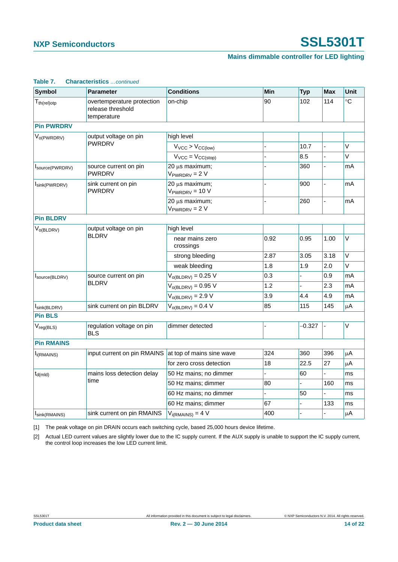#### **Mains dimmable controller for LED lighting**

| <b>Symbol</b>                                        | <b>Parameter</b>                                               | <b>Conditions</b>                     | <b>Min</b> | <b>Typ</b> | <b>Max</b>     | <b>Unit</b> |
|------------------------------------------------------|----------------------------------------------------------------|---------------------------------------|------------|------------|----------------|-------------|
| $\mathsf{T}_{\mathsf{th}(\mathsf{rel})\mathsf{otp}}$ | overtemperature protection<br>release threshold<br>temperature | on-chip                               | 90         | 102        | 114            | °C          |
| <b>Pin PWRDRV</b>                                    |                                                                |                                       |            |            |                |             |
| V <sub>o(PWRDRV)</sub>                               | output voltage on pin                                          | high level                            |            |            |                |             |
|                                                      | <b>PWRDRV</b>                                                  | $V_{VCC}$ > $V_{CC(low)}$             |            | 10.7       |                | $\vee$      |
|                                                      |                                                                | $V_{VCC} = V_{CC(stop)}$              |            | 8.5        |                | V           |
| Source(PWRDRV)                                       | source current on pin<br><b>PWRDRV</b>                         | 20 µs maximum;<br>$V_{PWRDRV} = 2 V$  |            | 360        | L.             | mA          |
| Isink(PWRDRV)                                        | sink current on pin<br><b>PWRDRV</b>                           | 20 µs maximum;<br>$V_{PWRDRV} = 10 V$ |            | 900        |                | mA          |
|                                                      |                                                                | 20 µs maximum;<br>$V_{PWRDRV} = 2 V$  |            | 260        |                | mA          |
| <b>Pin BLDRV</b>                                     |                                                                |                                       |            |            |                |             |
| $V_{O(BLDRV)}$                                       | output voltage on pin                                          | high level                            |            |            |                |             |
|                                                      | <b>BLDRV</b>                                                   | near mains zero<br>crossings          | 0.92       | 0.95       | 1.00           | V           |
|                                                      |                                                                | strong bleeding                       | 2.87       | 3.05       | 3.18           | V           |
|                                                      |                                                                | weak bleeding                         | 1.8        | 1.9        | 2.0            | $\vee$      |
| Source(BLDRV)                                        | source current on pin                                          | $V_{O(BLDRV)} = 0.25 V$               | 0.3        |            | 0.9            | mA          |
|                                                      | <b>BLDRV</b>                                                   | $V_{O(BLDRV)} = 0.95 V$               | 1.2        |            | 2.3            | mA          |
|                                                      |                                                                | $V_{O(BLDRV)} = 2.9 V$                | 3.9        | 4.4        | 4.9            | mA          |
| Isink(BLDRV)                                         | sink current on pin BLDRV                                      | $V_{O(BLDRV)} = 0.4 V$                | 85         | 115        | 145            | μA          |
| <b>Pin BLS</b>                                       |                                                                |                                       |            |            |                |             |
| $V_{reg(BLS)}$                                       | regulation voltage on pin<br><b>BLS</b>                        | dimmer detected                       |            | $-0.327$   | $\overline{a}$ | V           |
| <b>Pin RMAINS</b>                                    |                                                                |                                       |            |            |                |             |
| $I_{i(RMAINS)}$                                      | input current on pin RMAINS                                    | at top of mains sine wave             | 324        | 360        | 396            | μA          |
|                                                      |                                                                | for zero cross detection              | 18         | 22.5       | 27             | μA          |
| $t_{d(mld)}$                                         | mains loss detection delay                                     | 50 Hz mains; no dimmer                | L.         | 60         | ÷.             | ms          |
|                                                      | time                                                           | 50 Hz mains; dimmer                   | 80         |            | 160            | ms          |
|                                                      |                                                                | 60 Hz mains; no dimmer                |            | 50         |                | ms          |
|                                                      |                                                                | 60 Hz mains; dimmer                   | 67         |            | 133            | ms          |
| Isink(RMAINS)                                        | sink current on pin RMAINS                                     | $V_{i(RMAINS)} = 4 V$                 | 400        |            |                | μA          |

#### **Table 7. Characteristics** *…continued*

<span id="page-13-0"></span>[1] The peak voltage on pin DRAIN occurs each switching cycle, based 25,000 hours device lifetime.

<span id="page-13-1"></span>[2] Actual LED current values are slightly lower due to the IC supply current. If the AUX supply is unable to support the IC supply current, the control loop increases the low LED current limit.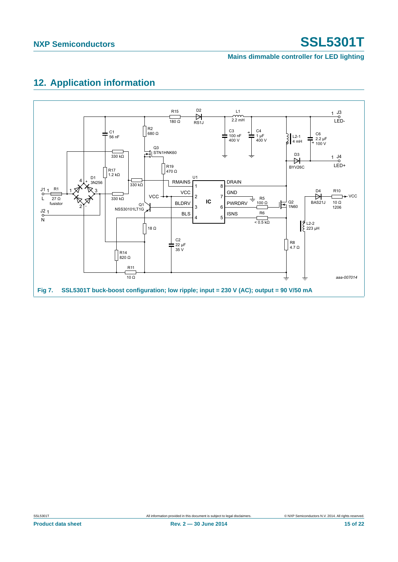#### **Mains dimmable controller for LED lighting**

# <span id="page-14-0"></span>**12. Application information**

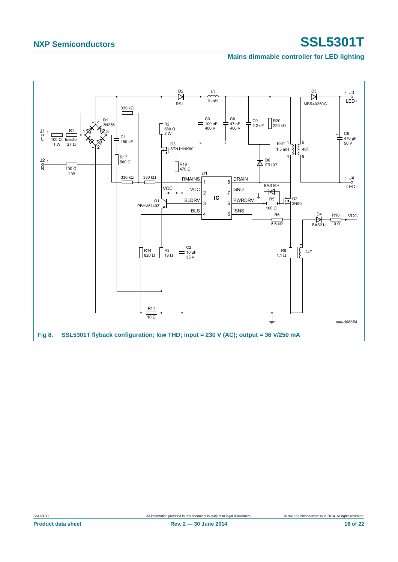#### **Mains dimmable controller for LED lighting**

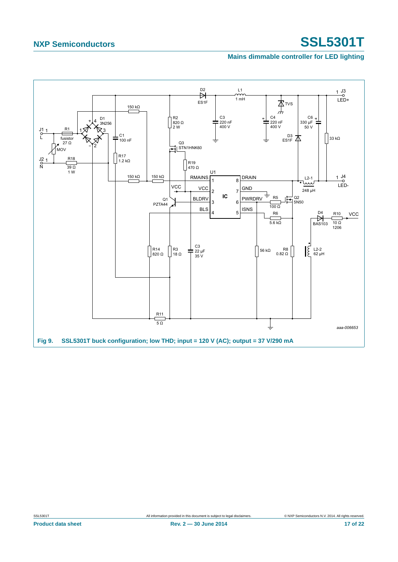#### **Mains dimmable controller for LED lighting**

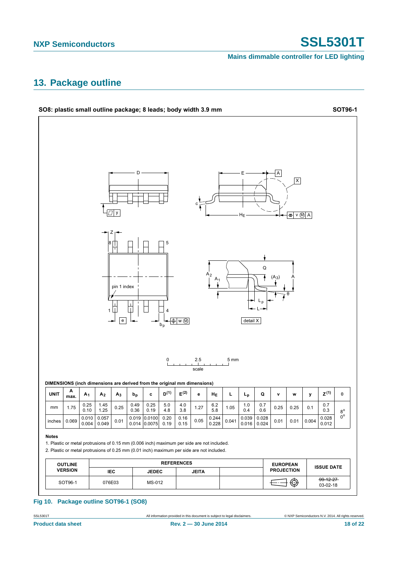**Mains dimmable controller for LED lighting**

### <span id="page-17-0"></span>**13. Package outline**

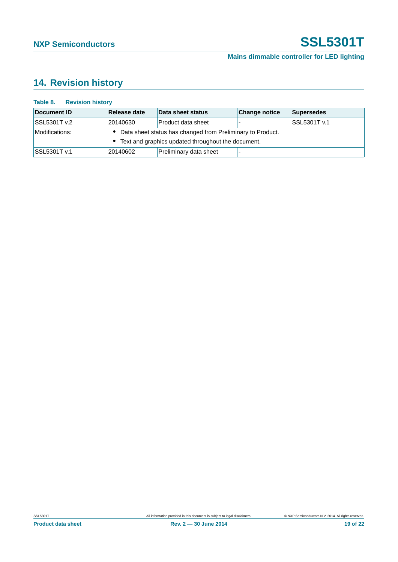# <span id="page-18-0"></span>**14. Revision history**

| Document ID    | Release date                                                 | Data sheet status      | <b>Change notice</b> | Supersedes   |  |  |
|----------------|--------------------------------------------------------------|------------------------|----------------------|--------------|--|--|
| SSL5301T v.2   | 20140630                                                     | Product data sheet     |                      | SSL5301T v.1 |  |  |
| Modifications: | • Data sheet status has changed from Preliminary to Product. |                        |                      |              |  |  |
|                | • Text and graphics updated throughout the document.         |                        |                      |              |  |  |
| SSL5301T v.1   | 20140602                                                     | Preliminary data sheet |                      |              |  |  |

#### **Table 8. Revision history**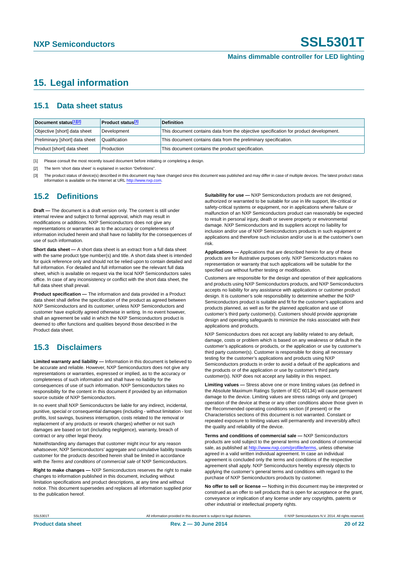### <span id="page-19-3"></span>**15. Legal information**

#### <span id="page-19-4"></span>**15.1 Data sheet status**

| Document status[1][2]          | <b>Product status</b> <sup>[3]</sup> | <b>Definition</b>                                                                     |
|--------------------------------|--------------------------------------|---------------------------------------------------------------------------------------|
| Objective [short] data sheet   | Development                          | This document contains data from the objective specification for product development. |
| Preliminary [short] data sheet | Qualification                        | This document contains data from the preliminary specification.                       |
| Product [short] data sheet     | Production                           | This document contains the product specification.                                     |

<span id="page-19-0"></span>[1] Please consult the most recently issued document before initiating or completing a design.

<span id="page-19-1"></span>[2] The term 'short data sheet' is explained in section "Definitions".

<span id="page-19-2"></span>[3] The product status of device(s) described in this document may have changed since this document was published and may differ in case of multiple devices. The latest product status<br>information is available on the Intern

#### <span id="page-19-5"></span>**15.2 Definitions**

**Draft —** The document is a draft version only. The content is still under internal review and subject to formal approval, which may result in modifications or additions. NXP Semiconductors does not give any representations or warranties as to the accuracy or completeness of information included herein and shall have no liability for the consequences of use of such information.

**Short data sheet —** A short data sheet is an extract from a full data sheet with the same product type number(s) and title. A short data sheet is intended for quick reference only and should not be relied upon to contain detailed and full information. For detailed and full information see the relevant full data sheet, which is available on request via the local NXP Semiconductors sales office. In case of any inconsistency or conflict with the short data sheet, the full data sheet shall prevail.

**Product specification —** The information and data provided in a Product data sheet shall define the specification of the product as agreed between NXP Semiconductors and its customer, unless NXP Semiconductors and customer have explicitly agreed otherwise in writing. In no event however, shall an agreement be valid in which the NXP Semiconductors product is deemed to offer functions and qualities beyond those described in the Product data sheet.

#### <span id="page-19-6"></span>**15.3 Disclaimers**

**Limited warranty and liability —** Information in this document is believed to be accurate and reliable. However, NXP Semiconductors does not give any representations or warranties, expressed or implied, as to the accuracy or completeness of such information and shall have no liability for the consequences of use of such information. NXP Semiconductors takes no responsibility for the content in this document if provided by an information source outside of NXP Semiconductors.

In no event shall NXP Semiconductors be liable for any indirect, incidental, punitive, special or consequential damages (including - without limitation - lost profits, lost savings, business interruption, costs related to the removal or replacement of any products or rework charges) whether or not such damages are based on tort (including negligence), warranty, breach of contract or any other legal theory.

Notwithstanding any damages that customer might incur for any reason whatsoever, NXP Semiconductors' aggregate and cumulative liability towards customer for the products described herein shall be limited in accordance with the *Terms and conditions of commercial sale* of NXP Semiconductors.

**Right to make changes —** NXP Semiconductors reserves the right to make changes to information published in this document, including without limitation specifications and product descriptions, at any time and without notice. This document supersedes and replaces all information supplied prior to the publication hereof.

**Suitability for use —** NXP Semiconductors products are not designed, authorized or warranted to be suitable for use in life support, life-critical or safety-critical systems or equipment, nor in applications where failure or malfunction of an NXP Semiconductors product can reasonably be expected to result in personal injury, death or severe property or environmental damage. NXP Semiconductors and its suppliers accept no liability for inclusion and/or use of NXP Semiconductors products in such equipment or applications and therefore such inclusion and/or use is at the customer's own risk.

**Applications —** Applications that are described herein for any of these products are for illustrative purposes only. NXP Semiconductors makes no representation or warranty that such applications will be suitable for the specified use without further testing or modification.

Customers are responsible for the design and operation of their applications and products using NXP Semiconductors products, and NXP Semiconductors accepts no liability for any assistance with applications or customer product design. It is customer's sole responsibility to determine whether the NXP Semiconductors product is suitable and fit for the customer's applications and products planned, as well as for the planned application and use of customer's third party customer(s). Customers should provide appropriate design and operating safeguards to minimize the risks associated with their applications and products.

NXP Semiconductors does not accept any liability related to any default, damage, costs or problem which is based on any weakness or default in the customer's applications or products, or the application or use by customer's third party customer(s). Customer is responsible for doing all necessary testing for the customer's applications and products using NXP Semiconductors products in order to avoid a default of the applications and the products or of the application or use by customer's third party customer(s). NXP does not accept any liability in this respect.

**Limiting values —** Stress above one or more limiting values (as defined in the Absolute Maximum Ratings System of IEC 60134) will cause permanent damage to the device. Limiting values are stress ratings only and (proper) operation of the device at these or any other conditions above those given in the Recommended operating conditions section (if present) or the Characteristics sections of this document is not warranted. Constant or repeated exposure to limiting values will permanently and irreversibly affect the quality and reliability of the device.

**Terms and conditions of commercial sale —** NXP Semiconductors products are sold subject to the general terms and conditions of commercial sale, as published at<http://www.nxp.com/profile/terms>, unless otherwise agreed in a valid written individual agreement. In case an individual agreement is concluded only the terms and conditions of the respective agreement shall apply. NXP Semiconductors hereby expressly objects to applying the customer's general terms and conditions with regard to the purchase of NXP Semiconductors products by customer.

**No offer to sell or license —** Nothing in this document may be interpreted or construed as an offer to sell products that is open for acceptance or the grant, conveyance or implication of any license under any copyrights, patents or other industrial or intellectual property rights.

SSL5301T **All information provided in this document** is subject to legal disclaimers. 
■ 
© NXP Semiconductors N.V. 2014. All rights reserved.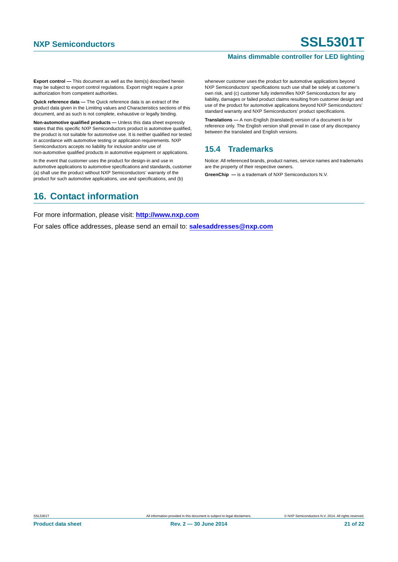#### **Mains dimmable controller for LED lighting**

**Export control —** This document as well as the item(s) described herein may be subject to export control regulations. Export might require a prior authorization from competent authorities.

**Quick reference data —** The Quick reference data is an extract of the product data given in the Limiting values and Characteristics sections of this document, and as such is not complete, exhaustive or legally binding.

**Non-automotive qualified products —** Unless this data sheet expressly states that this specific NXP Semiconductors product is automotive qualified, the product is not suitable for automotive use. It is neither qualified nor tested in accordance with automotive testing or application requirements. NXP Semiconductors accepts no liability for inclusion and/or use of non-automotive qualified products in automotive equipment or applications.

In the event that customer uses the product for design-in and use in automotive applications to automotive specifications and standards, customer (a) shall use the product without NXP Semiconductors' warranty of the product for such automotive applications, use and specifications, and (b)

whenever customer uses the product for automotive applications beyond NXP Semiconductors' specifications such use shall be solely at customer's own risk, and (c) customer fully indemnifies NXP Semiconductors for any liability, damages or failed product claims resulting from customer design and use of the product for automotive applications beyond NXP Semiconductors' standard warranty and NXP Semiconductors' product specifications.

**Translations —** A non-English (translated) version of a document is for reference only. The English version shall prevail in case of any discrepancy between the translated and English versions.

#### <span id="page-20-0"></span>**15.4 Trademarks**

Notice: All referenced brands, product names, service names and trademarks are the property of their respective owners.

**GreenChip —** is a trademark of NXP Semiconductors N.V.

## <span id="page-20-1"></span>**16. Contact information**

For more information, please visit: **http://www.nxp.com**

For sales office addresses, please send an email to: **salesaddresses@nxp.com**